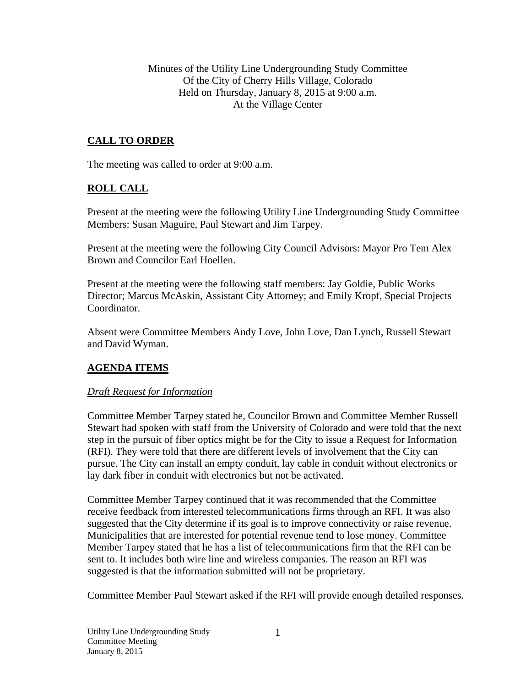Minutes of the Utility Line Undergrounding Study Committee Of the City of Cherry Hills Village, Colorado Held on Thursday, January 8, 2015 at 9:00 a.m. At the Village Center

# **CALL TO ORDER**

The meeting was called to order at 9:00 a.m.

## **ROLL CALL**

Present at the meeting were the following Utility Line Undergrounding Study Committee Members: Susan Maguire, Paul Stewart and Jim Tarpey.

Present at the meeting were the following City Council Advisors: Mayor Pro Tem Alex Brown and Councilor Earl Hoellen.

Present at the meeting were the following staff members: Jay Goldie, Public Works Director; Marcus McAskin, Assistant City Attorney; and Emily Kropf, Special Projects Coordinator.

Absent were Committee Members Andy Love, John Love, Dan Lynch, Russell Stewart and David Wyman.

## **AGENDA ITEMS**

## *Draft Request for Information*

Committee Member Tarpey stated he, Councilor Brown and Committee Member Russell Stewart had spoken with staff from the University of Colorado and were told that the next step in the pursuit of fiber optics might be for the City to issue a Request for Information (RFI). They were told that there are different levels of involvement that the City can pursue. The City can install an empty conduit, lay cable in conduit without electronics or lay dark fiber in conduit with electronics but not be activated.

Committee Member Tarpey continued that it was recommended that the Committee receive feedback from interested telecommunications firms through an RFI. It was also suggested that the City determine if its goal is to improve connectivity or raise revenue. Municipalities that are interested for potential revenue tend to lose money. Committee Member Tarpey stated that he has a list of telecommunications firm that the RFI can be sent to. It includes both wire line and wireless companies. The reason an RFI was suggested is that the information submitted will not be proprietary.

Committee Member Paul Stewart asked if the RFI will provide enough detailed responses.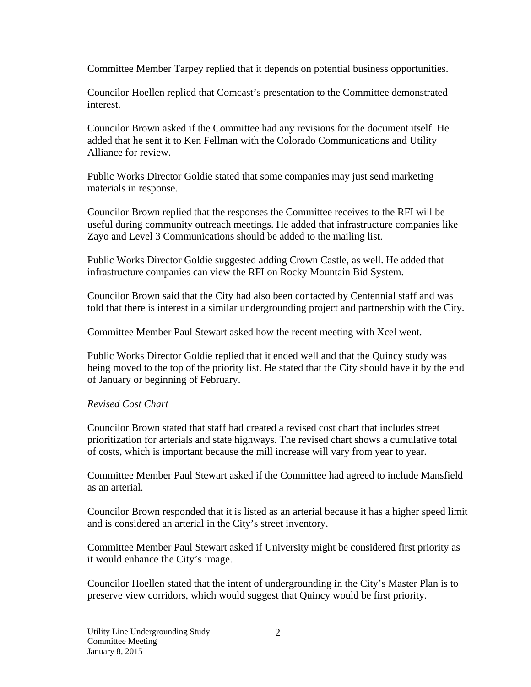Committee Member Tarpey replied that it depends on potential business opportunities.

Councilor Hoellen replied that Comcast's presentation to the Committee demonstrated interest.

Councilor Brown asked if the Committee had any revisions for the document itself. He added that he sent it to Ken Fellman with the Colorado Communications and Utility Alliance for review.

Public Works Director Goldie stated that some companies may just send marketing materials in response.

Councilor Brown replied that the responses the Committee receives to the RFI will be useful during community outreach meetings. He added that infrastructure companies like Zayo and Level 3 Communications should be added to the mailing list.

Public Works Director Goldie suggested adding Crown Castle, as well. He added that infrastructure companies can view the RFI on Rocky Mountain Bid System.

Councilor Brown said that the City had also been contacted by Centennial staff and was told that there is interest in a similar undergrounding project and partnership with the City.

Committee Member Paul Stewart asked how the recent meeting with Xcel went.

Public Works Director Goldie replied that it ended well and that the Quincy study was being moved to the top of the priority list. He stated that the City should have it by the end of January or beginning of February.

## *Revised Cost Chart*

Councilor Brown stated that staff had created a revised cost chart that includes street prioritization for arterials and state highways. The revised chart shows a cumulative total of costs, which is important because the mill increase will vary from year to year.

Committee Member Paul Stewart asked if the Committee had agreed to include Mansfield as an arterial.

Councilor Brown responded that it is listed as an arterial because it has a higher speed limit and is considered an arterial in the City's street inventory.

Committee Member Paul Stewart asked if University might be considered first priority as it would enhance the City's image.

Councilor Hoellen stated that the intent of undergrounding in the City's Master Plan is to preserve view corridors, which would suggest that Quincy would be first priority.